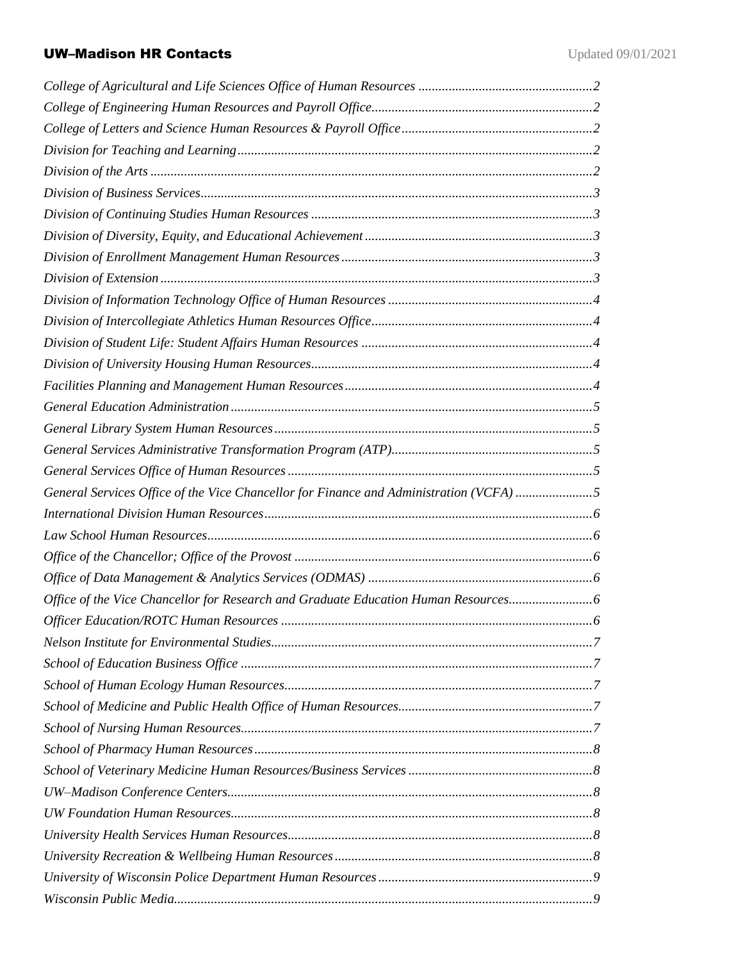# UW-Madison HR Contacts Updated 09/01/2021

| General Services Office of the Vice Chancellor for Finance and Administration (VCFA) 5 |  |
|----------------------------------------------------------------------------------------|--|
|                                                                                        |  |
|                                                                                        |  |
|                                                                                        |  |
|                                                                                        |  |
| Office of the Vice Chancellor for Research and Graduate Education Human Resources      |  |
|                                                                                        |  |
|                                                                                        |  |
|                                                                                        |  |
|                                                                                        |  |
|                                                                                        |  |
|                                                                                        |  |
|                                                                                        |  |
|                                                                                        |  |
|                                                                                        |  |
|                                                                                        |  |
|                                                                                        |  |
|                                                                                        |  |
|                                                                                        |  |
|                                                                                        |  |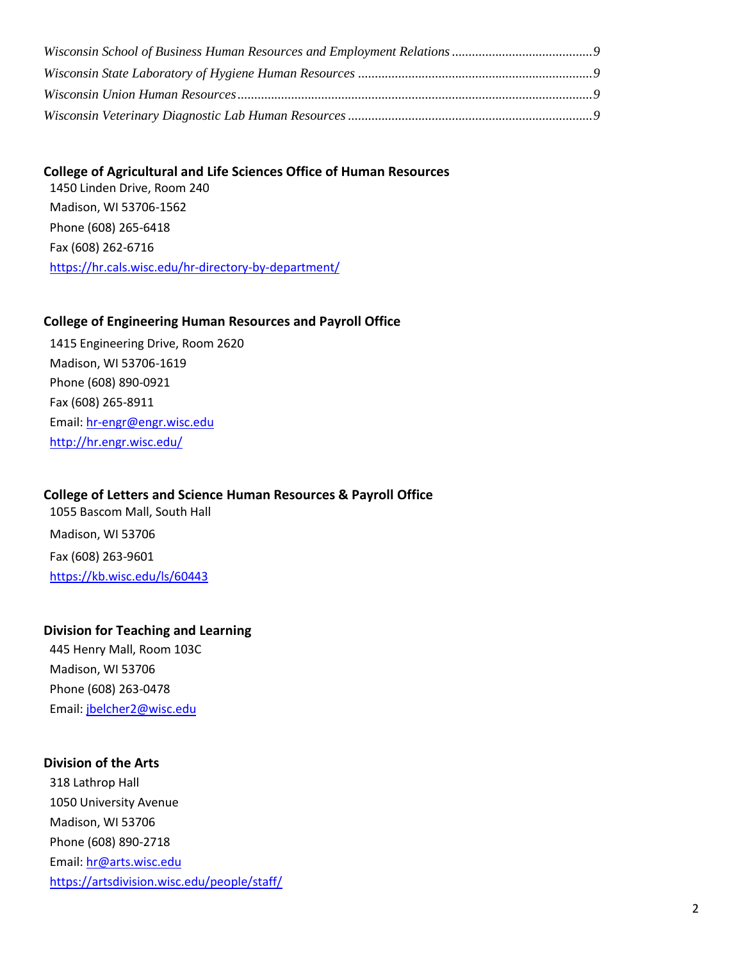### <span id="page-1-0"></span>**College of Agricultural and Life Sciences Office of Human Resources**

1450 Linden Drive, Room 240 Madison, WI 53706-1562 Phone (608) 265-6418 Fax (608) 262-6716 <https://hr.cals.wisc.edu/hr-directory-by-department/>

### <span id="page-1-1"></span>**College of Engineering Human Resources and Payroll Office**

1415 Engineering Drive, Room 2620 Madison, WI 53706-1619 Phone (608) 890-0921 Fax (608) 265-8911 Email: [hr-engr@engr.wisc.edu](mailto:hr-engr@engr.wisc.edu) <http://hr.engr.wisc.edu/>

## <span id="page-1-2"></span>**College of Letters and Science Human Resources & Payroll Office**

1055 Bascom Mall, South Hall Madison, WI 53706 Fax (608) 263-9601 <https://kb.wisc.edu/ls/60443>

### <span id="page-1-3"></span>**Division for Teaching and Learning**

445 Henry Mall, Room 103C Madison, WI 53706 Phone (608) 263-0478 Email: [jbelcher2@wisc.edu](mailto:jbelcher2@wisc.edu)

### <span id="page-1-4"></span>**Division of the Arts**

318 Lathrop Hall 1050 University Avenue Madison, WI 53706 Phone (608) 890-2718 Email: [hr@arts.wisc.edu](mailto:hr@arts.wisc.edu) <https://artsdivision.wisc.edu/people/staff/>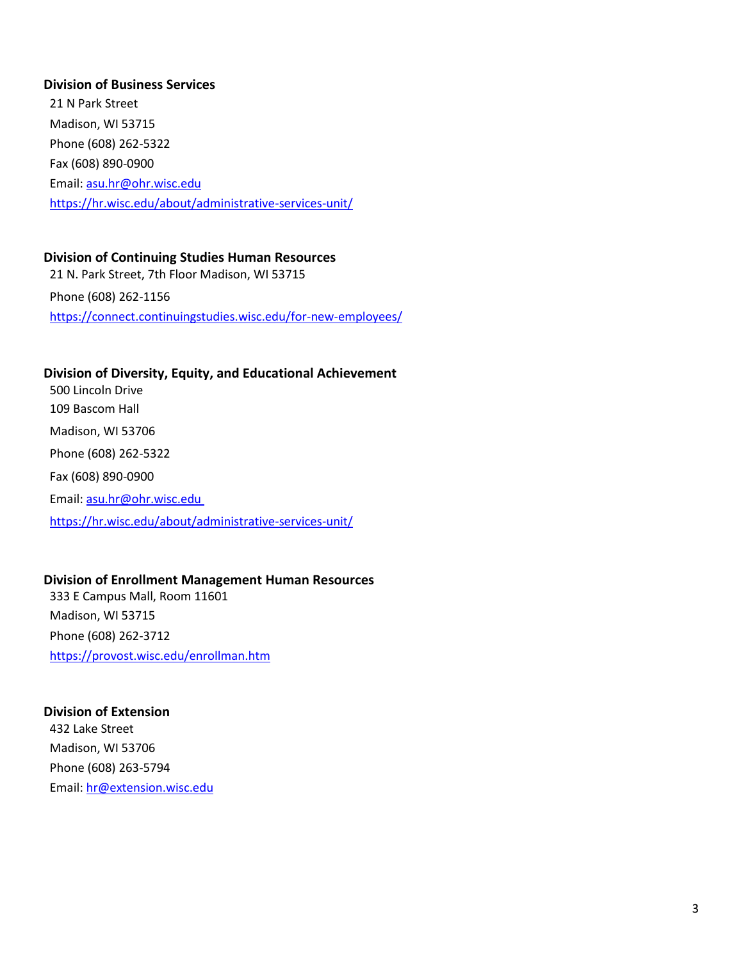### <span id="page-2-0"></span>**Division of Business Services**

21 N Park Street Madison, WI 53715 Phone (608) 262-5322 Fax (608) 890-0900 Email: [asu.hr@ohr.wisc.edu](mailto:asu.hr@ohr.wisc.edu) <https://hr.wisc.edu/about/administrative-services-unit/>

## <span id="page-2-1"></span>**Division of Continuing Studies Human Resources**

21 N. Park Street, 7th Floor Madison, WI 53715 Phone (608) 262-1156 <https://connect.continuingstudies.wisc.edu/for-new-employees/>

## <span id="page-2-2"></span>**Division of Diversity, Equity, and Educational Achievement**

500 Lincoln Drive 109 Bascom Hall Madison, WI 53706 Phone (608) 262-5322 Fax (608) 890-0900 Email: [asu.hr@ohr.wisc.edu](mailto:asu.hr@ohr.wisc.edu) <https://hr.wisc.edu/about/administrative-services-unit/>

### <span id="page-2-3"></span>**Division of Enrollment Management Human Resources**

333 E Campus Mall, Room 11601 Madison, WI 53715 Phone (608) 262-3712 <https://provost.wisc.edu/enrollman.htm>

## <span id="page-2-4"></span>**Division of Extension**

432 Lake Street Madison, WI 53706 Phone (608) 263-5794 Email: [hr@extension.wisc.edu](mailto:hr@extension.wisc.edu)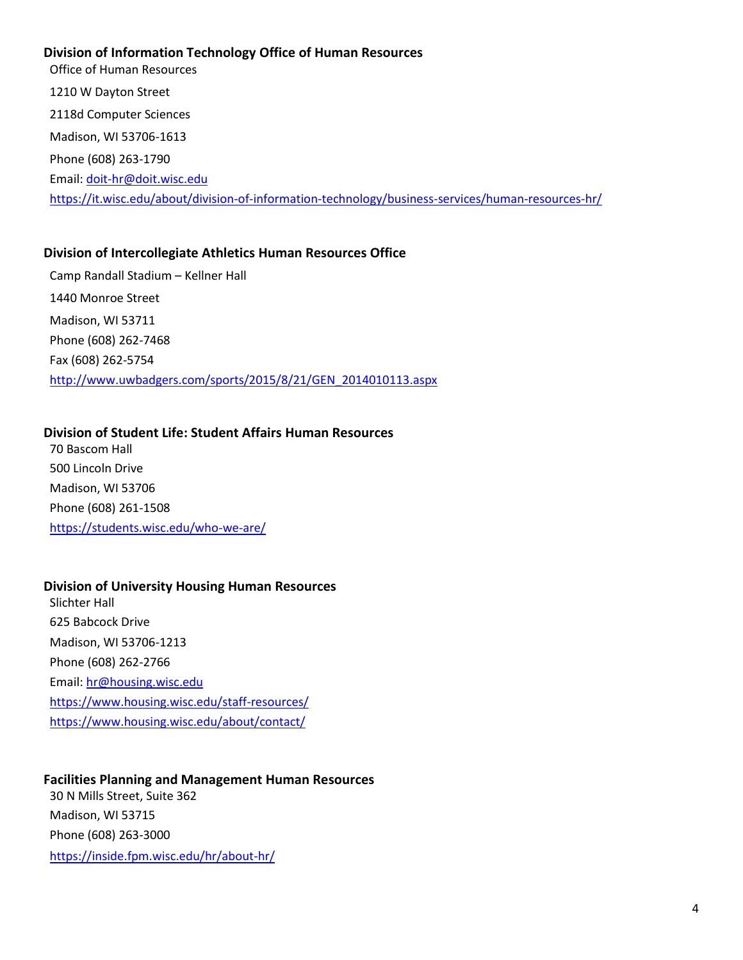## <span id="page-3-0"></span>**Division of Information Technology Office of Human Resources**

Office of Human Resources 1210 W Dayton Street 2118d Computer Sciences Madison, WI 53706-1613 Phone (608) 263-1790 Email: [doit-hr@doit.wisc.edu](mailto:doit-hr@doit.wisc.edu) <https://it.wisc.edu/about/division-of-information-technology/business-services/human-resources-hr/>

### <span id="page-3-1"></span>**Division of Intercollegiate Athletics Human Resources Office**

Camp Randall Stadium – Kellner Hall 1440 Monroe Street Madison, WI 53711 Phone (608) 262-7468 Fax (608) 262-5754 [http://www.uwbadgers.com/sports/2015/8/21/GEN\\_2014010113.aspx](http://www.uwbadgers.com/sports/2015/8/21/GEN_2014010113.aspx)

### <span id="page-3-2"></span>**Division of Student Life: Student Affairs Human Resources**

70 Bascom Hall 500 Lincoln Drive Madison, WI 53706 Phone (608) 261-1508 <https://students.wisc.edu/who-we-are/>

### <span id="page-3-3"></span>**Division of University Housing Human Resources**

Slichter Hall 625 Babcock Drive Madison, WI 53706-1213 Phone (608) 262-2766 Email: [hr@housing.wisc.edu](mailto:hr@housing.wisc.edu) <https://www.housing.wisc.edu/staff-resources/> <https://www.housing.wisc.edu/about/contact/>

### <span id="page-3-4"></span>**Facilities Planning and Management Human Resources**

30 N Mills Street, Suite 362 Madison, WI 53715 Phone (608) 263-3000 <https://inside.fpm.wisc.edu/hr/about-hr/>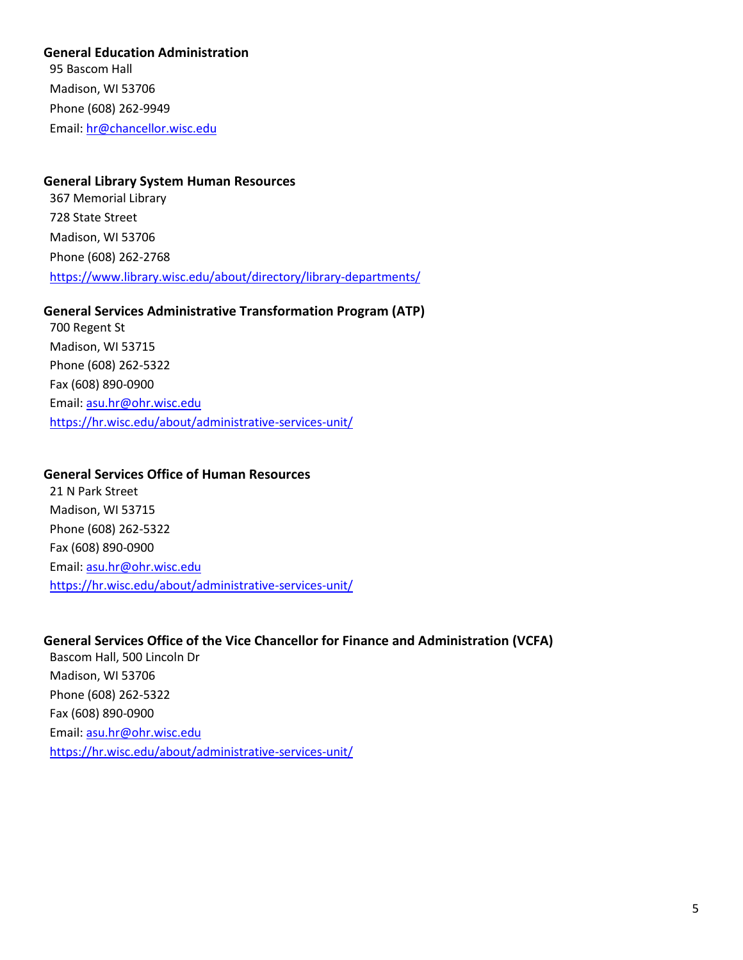<span id="page-4-0"></span>**General Education Administration** 

95 Bascom Hall Madison, WI 53706 Phone (608) 262-9949 Email: [hr@chancellor.wisc.edu](mailto:klaune@wisc.edu)

## <span id="page-4-1"></span>**General Library System Human Resources**

367 Memorial Library 728 State Street Madison, WI 53706 Phone (608) 262-2768 <https://www.library.wisc.edu/about/directory/library-departments/>

#### <span id="page-4-2"></span>**General Services Administrative Transformation Program (ATP)**

700 Regent St Madison, WI 53715 Phone (608) 262-5322 Fax (608) 890-0900 Email: [asu.hr@ohr.wisc.edu](mailto:asu.hr@ohr.wisc.edu) <https://hr.wisc.edu/about/administrative-services-unit/>

### <span id="page-4-3"></span>**General Services Office of Human Resources**

21 N Park Street Madison, WI 53715 Phone (608) 262-5322 Fax (608) 890-0900 Email: [asu.hr@ohr.wisc.edu](mailto:asu.hr@ohr.wisc.edu) <https://hr.wisc.edu/about/administrative-services-unit/>

## <span id="page-4-4"></span>**General Services Office of the Vice Chancellor for Finance and Administration (VCFA)**

Bascom Hall, 500 Lincoln Dr Madison, WI 53706 Phone (608) 262-5322 Fax (608) 890-0900 Email: [asu.hr@ohr.wisc.edu](mailto:asu.hr@ohr.wisc.edu) <https://hr.wisc.edu/about/administrative-services-unit/>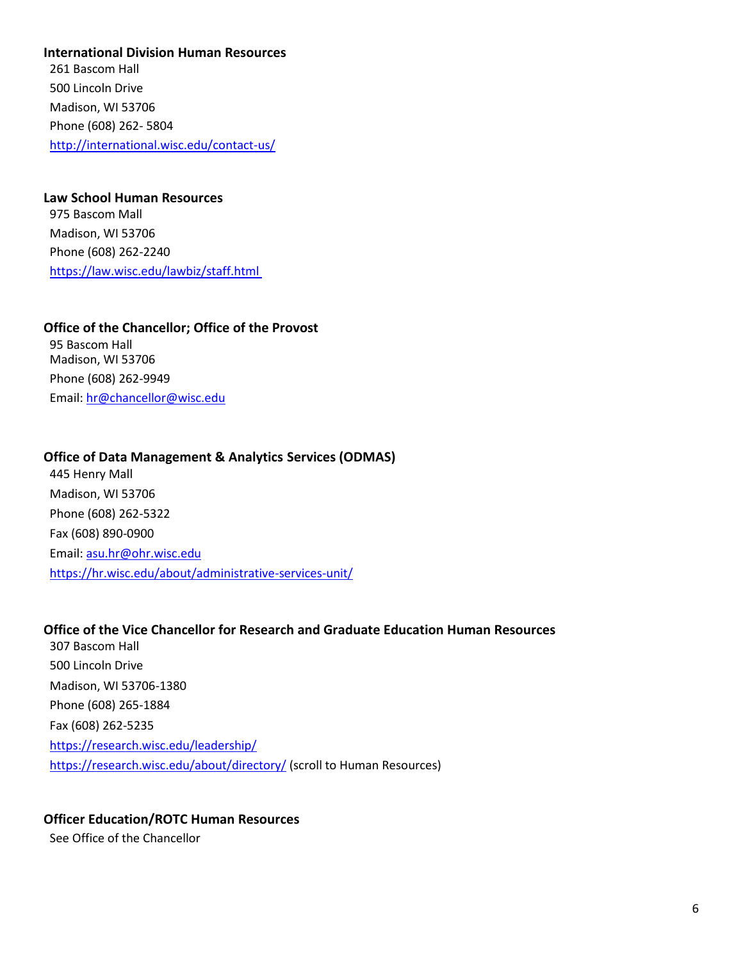<span id="page-5-0"></span>**International Division Human Resources** 

261 Bascom Hall 500 Lincoln Drive Madison, WI 53706 Phone (608) 262- 5804 <http://international.wisc.edu/contact-us/>

<span id="page-5-1"></span>**Law School Human Resources**  975 Bascom Mall Madison, WI 53706 Phone (608) 262-2240 <https://law.wisc.edu/lawbiz/staff.html>

<span id="page-5-2"></span>**Office of the Chancellor; Office of the Provost** 95 Bascom Hall Madison, WI 53706 Phone (608) 262-9949 Email: [hr@chancellor@wisc.edu](mailto:hr@chancellor@wisc.edu)

#### <span id="page-5-3"></span>**Office of Data Management & Analytics Services (ODMAS)**

445 Henry Mall Madison, WI 53706 Phone (608) 262-5322 Fax (608) 890-0900 Email: [asu.hr@ohr.wisc.edu](mailto:asu.hr@ohr.wisc.edu) <https://hr.wisc.edu/about/administrative-services-unit/>

#### <span id="page-5-4"></span>**Office of the Vice Chancellor for Research and Graduate Education Human Resources**

307 Bascom Hall 500 Lincoln Drive Madison, WI 53706-1380 Phone (608) 265-1884 Fax (608) 262-5235 <https://research.wisc.edu/leadership/> <https://research.wisc.edu/about/directory/> (scroll to Human Resources)

### <span id="page-5-5"></span>**Officer Education/ROTC Human Resources**

See Office of the Chancellor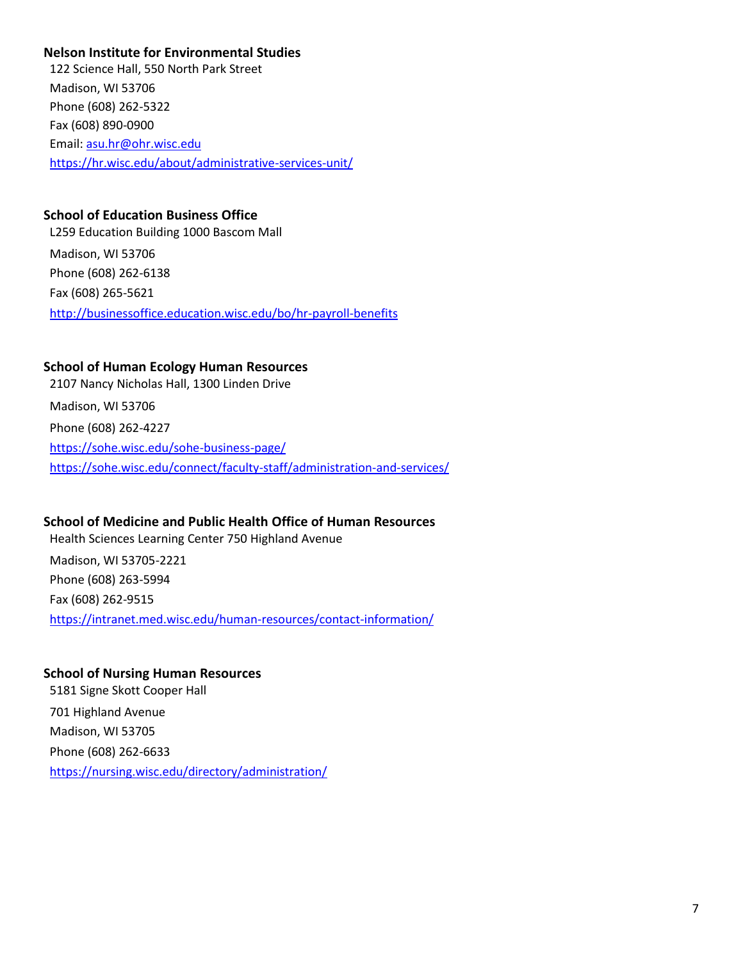## <span id="page-6-0"></span>**Nelson Institute for Environmental Studies**

122 Science Hall, 550 North Park Street Madison, WI 53706 Phone (608) 262-5322 Fax (608) 890-0900 Email: [asu.hr@ohr.wisc.edu](mailto:asu.hr@ohr.wisc.edu) <https://hr.wisc.edu/about/administrative-services-unit/>

## <span id="page-6-1"></span>**School of Education Business Office**

L259 Education Building 1000 Bascom Mall Madison, WI 53706 Phone (608) 262-6138 Fax (608) 265-5621 <http://businessoffice.education.wisc.edu/bo/hr-payroll-benefits>

## <span id="page-6-2"></span>**School of Human Ecology Human Resources**

2107 Nancy Nicholas Hall, 1300 Linden Drive Madison, WI 53706 Phone (608) 262-4227 <https://sohe.wisc.edu/sohe-business-page/> <https://sohe.wisc.edu/connect/faculty-staff/administration-and-services/>

## <span id="page-6-3"></span>**School of Medicine and Public Health Office of Human Resources**

Health Sciences Learning Center 750 Highland Avenue

Madison, WI 53705-2221 Phone (608) 263-5994 Fax (608) 262-9515 <https://intranet.med.wisc.edu/human-resources/contact-information/>

## <span id="page-6-4"></span>**School of Nursing Human Resources**

5181 Signe Skott Cooper Hall 701 Highland Avenue Madison, WI 53705 Phone (608) 262-6633 https://nursing.wisc.edu/directory/administration/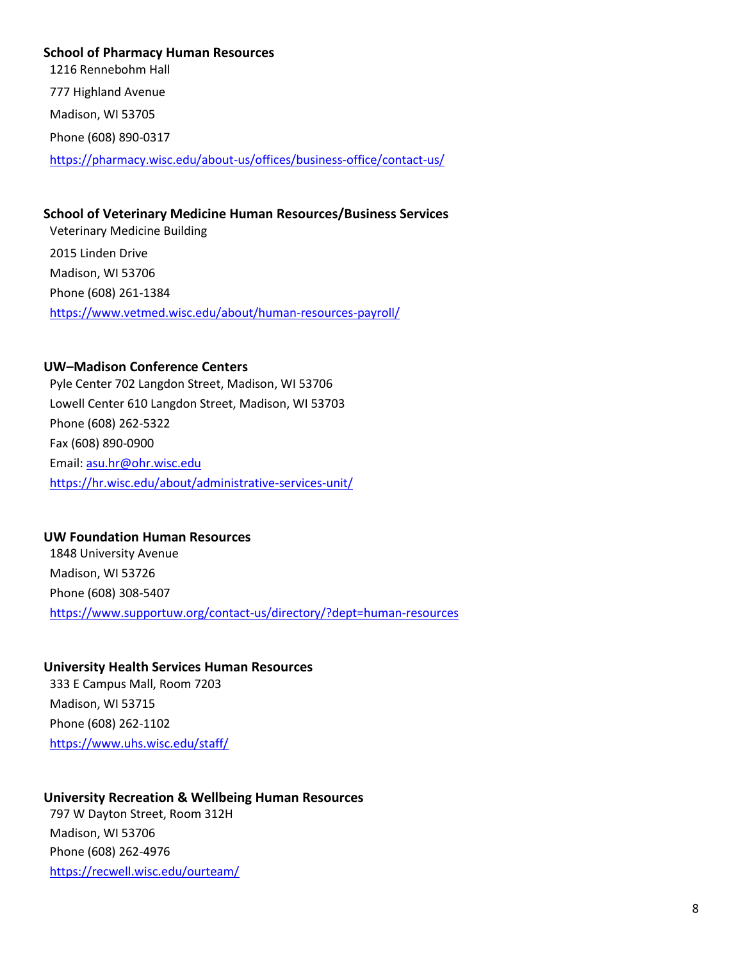## <span id="page-7-0"></span>**School of Pharmacy Human Resources**

1216 Rennebohm Hall 777 Highland Avenue Madison, WI 53705 Phone (608) 890-0317 <https://pharmacy.wisc.edu/about-us/offices/business-office/contact-us/>

### <span id="page-7-1"></span>**School of Veterinary Medicine Human Resources/Business Services**

Veterinary Medicine Building 2015 Linden Drive Madison, WI 53706 Phone (608) 261-1384 <https://www.vetmed.wisc.edu/about/human-resources-payroll/>

## <span id="page-7-2"></span>**UW–Madison Conference Centers**

Pyle Center 702 Langdon Street, Madison, WI 53706 Lowell Center 610 Langdon Street, Madison, WI 53703 Phone (608) 262-5322 Fax (608) 890-0900 Email: [asu.hr@ohr.wisc.edu](mailto:asu.hr@ohr.wisc.edu) <https://hr.wisc.edu/about/administrative-services-unit/>

### <span id="page-7-3"></span>**UW Foundation Human Resources**

1848 University Avenue Madison, WI 53726 Phone (608) 308-5407 <https://www.supportuw.org/contact-us/directory/?dept=human-resources>

## <span id="page-7-4"></span>**University Health Services Human Resources**

333 E Campus Mall, Room 7203 Madison, WI 53715 Phone (608) 262-1102 <https://www.uhs.wisc.edu/staff/>

## <span id="page-7-5"></span>**University Recreation & Wellbeing Human Resources**

797 W Dayton Street, Room 312H Madison, WI 53706 Phone (608) 262-4976 <https://recwell.wisc.edu/ourteam/>